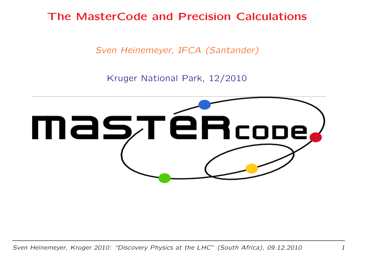The MasterCode and Precision Calculations

Sven Heinemeyer, IFCA (Santander)

Kruger National Park, 12/2010

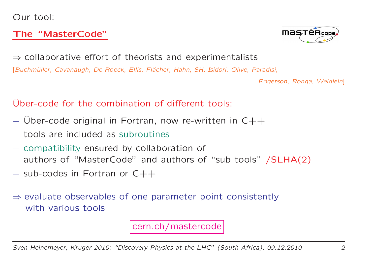Our tool:

#### The "MasterCode"



 $\Rightarrow$  collaborative effort of theorists and experimentalists<br>Experimentalists

[Buchmüller, Cavanaugh, De Roeck, Ellis, Flächer, Hahn, SH, Isidori, Olive, Paradisi,

Rogerson, Ronga, Weiglein]

#### Uber-code for the combination of different tools:

- $-$  Über-code original in Fortran, now re-written in C++
- tools are included as subroutines
- compatibility ensured by collaboration of authors of "MasterCode" and authors of "sub tools" /SLHA(2)
- $-$  sub-codes in Fortran or  $C++$
- ⇒ evaluate observables of one parameter point consistently<br>with various tools with various tools

cern.ch/mastercode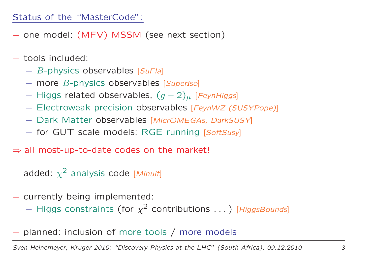#### Status of the "MasterCode":

- one model: (MFV) MSSM (see next section)
- tools included:
	- − *B*-physics observables [*SuFla*]
	- − more B-physics observables [SuperIso]
	- −− Higgs related observables,  $(g -2)$  $\mu$  [FeynHiggs]
	- −- Electroweak precision observables [FeynWZ (SUSYPope)]
	- −- Dark Matter observables [MicrOMEGAs, DarkSUSY]
	- −- for GUT scale models: RGE running [SoftSusy]
- $\Rightarrow$  all most-up-to-date codes on the market!
- $-$  added:  $\chi$ <sup>2</sup> analysis code [Minuit]
- currently being implemented:
	- − $-$  Higgs constraints (for  $\chi$  $2$  contributions  $\ldots$  ) [HiggsBounds]
- planned: inclusion of more tools / more models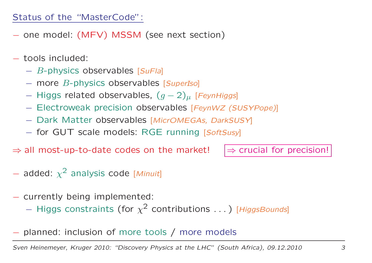#### Status of the "MasterCode":

- one model: (MFV) MSSM (see next section)
- tools included:
	- − *B*-physics observables [*SuFla*]
	- − more B-physics observables [SuperIso]
	- −− Higgs related observables,  $(g -2)$  $\mu$  [FeynHiggs]
	- −- Electroweak precision observables [FeynWZ (SUSYPope)]
	- −- Dark Matter observables [MicrOMEGAs, DarkSUSY]
	- −- for GUT scale models: RGE running [SoftSusy]
- $\Rightarrow$  all most-up-to-date codes on the market!

 $\Rightarrow$  crucial for precision!

- $-$  added:  $\chi$ <sup>2</sup> analysis code [Minuit]
- currently being implemented:
	- − $-$  Higgs constraints (for  $\chi$  $2$  contributions  $\ldots$  ) [HiggsBounds]
- planned: inclusion of more tools / more models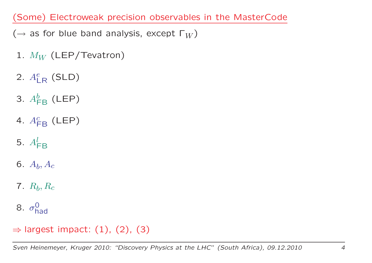(Some) Electroweak precision observables in the MasterCod e

- $(\rightarrow$  as for blue band analysis, except  $\Gamma_W$ )
- 1.  $M_W$  (LEP/Tevatron)
- 2.  $A^e_1$  LR $_{\mathsf{R}}$  (SLD)
- 3.  $A^b_{\mathsf{F}}$  FB $_{\mathsf{B}}$  (LEP)
- 4.  $A^c_{\mathsf{r}}$  FB $_{\mathsf{B}}$  (LEP)
- 5.  $A_{\mathsf{FB}}^l$
- 6.  $A_{\pmb{b}}, A_{\pmb{c}}$
- $7. \ \ R_b, R_c$
- 8.  $\sigma_{\rm b}^0$ had

# $\Rightarrow$  largest impact: (1), (2), (3)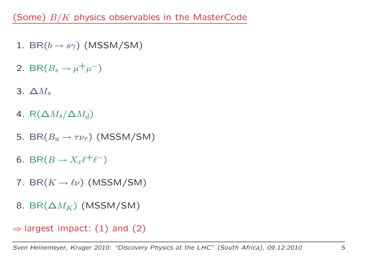(Some)  $B/K$  physics observables in the MasterCode

- $1. \, \, \mathsf{BR}(b \rightarrow s \gamma) \, \, \mathsf{(MSSM/SM)}$
- 2. BR $(B_s \rightarrow$  $\rightarrow \mu^+\mu^-)$
- 3.  $\Delta M_s$
- 4. R $(\Delta M_s/\Delta M_d)$
- 5. BR $(B_u \rightarrow \tau \nu_\tau)$  (MSSM/SM)
- 6. BR $(B \to X_x \ell^+ \ell^-)$
- 7. BR $(K \to \ell \nu)$  (MSSM/SM)
- 8. BR $(\Delta M_K)$  (MSSM/SM)
- $\Rightarrow$  largest impact: (1) and (2)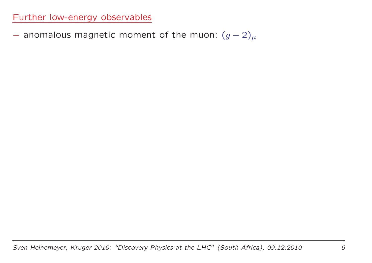$-$  anomalous magnetic moment of the muon:  $(g -2)$  $\mu$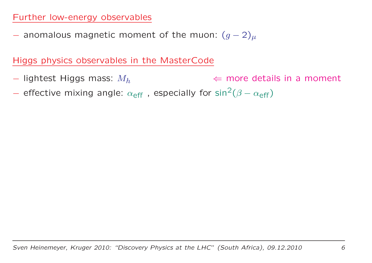$-$  anomalous magnetic moment of the muon:  $(g -2)$  $\mu$ 

Higgs physics observables in the MasterCode

- $-$  lightest Higgs mass:  $M_h$  $\Leftarrow$  more details in a moment
- effective mixing angle:  $\alpha_{\text{eff}}$ , especially for sin<sup>2</sup>  $^{2}(\beta$  $-\alpha_{\sf eff}$ )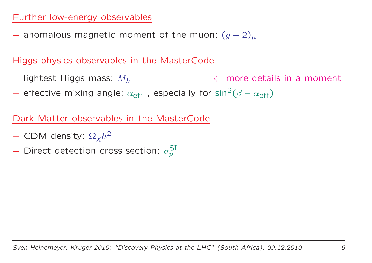$-$  anomalous magnetic moment of the muon:  $(g -2)$  $\mu$ 

Higgs physics observables in the MasterCode

- $-$  lightest Higgs mass:  $M_h$  $\Leftarrow$  more details in a moment
- effective mixing angle:  $\alpha_{\text{eff}}$ , especially for sin<sup>2</sup>  $^{2}(\beta$  $-\alpha_{\sf eff}$ )

Dark Matter observables in the MasterCode

- $-$  CDM density:  $\Omega_{\chi} h^2$
- Direct detection cross section:  $\sigma^{\rm SI}_{p}$  $\,p$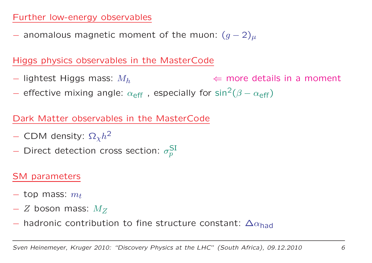$-$  anomalous magnetic moment of the muon:  $(g -2)$  $\mu$ 

Higgs physics observables in the MasterCode

- $-$  lightest Higgs mass:  $M_h$  $\Leftarrow$  more details in a moment
- effective mixing angle:  $\alpha_{\text{eff}}$ , especially for sin<sup>2</sup>  $^{2}(\beta$  $-\alpha_{\sf eff}$ )

Dark Matter observables in the MasterCode

- $-$  CDM density:  $\Omega_{\chi} h^2$
- Direct detection cross section:  $\sigma^{\rm SI}_{p}$  $\,p$

#### SM parameters

- $-$  top mass:  $m_t$
- $−Z$  boson mass:  $M_{\bar{Z}}$
- $-$  hadronic contribution to fine structure constant:  $\Delta\alpha_{\text{had}}$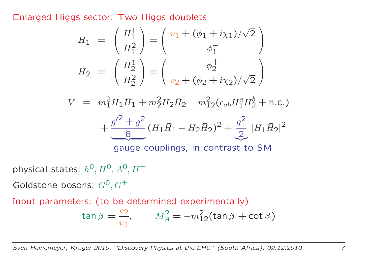Enlarged Higgs sector: Two Higgs doublets

$$
H_1 = \begin{pmatrix} H_1^1 \\ H_1^2 \end{pmatrix} = \begin{pmatrix} v_1 + (\phi_1 + i\chi_1)/\sqrt{2} \\ \phi_1^- \end{pmatrix}
$$

$$
H_2 = \begin{pmatrix} H_2^1 \\ H_2^2 \end{pmatrix} = \begin{pmatrix} \phi_2^+ \\ v_2 + (\phi_2 + i\chi_2)/\sqrt{2} \end{pmatrix}
$$

 $V=m$ 2 $^{2}_{1}H_{1}\bar{H}_{1}+m$ 2 $\frac{2}{2}H_2\bar{H}_2-m$ 2 $\frac{2}{12}(\epsilon_{ab}H_1^a)$  $^a_1H^b_2$  2 $\frac{1}{2} + h.c.$ 

$$
+\frac{g^{\prime 2}+g^2}{8}(H_1\bar{H}_1-H_2\bar{H}_2)^2+\frac{g^2}{2}|H_1\bar{H}_2|^2
$$

gauge couplings, in contrast to SM

physical states:  $h^{\mathsf{O}}, H^{\mathsf{O}}, A^{\mathsf{O}}, H^{\pm}$ 

Goldstone bosons:  $G^\mathbf{0}, G^\pm$ 

Input parameters: (to be determined experimentally)

$$
\tan \beta = \frac{v_2}{v_1}, \qquad M_A^2 = -m_{12}^2(\tan \beta + \cot \beta)
$$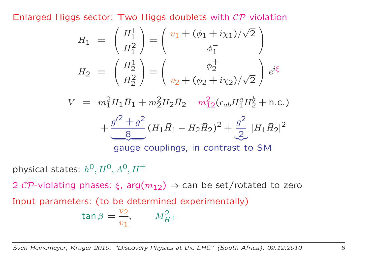Enlarged Higgs sector: Two Higgs doublets with  ${\cal{CP}}$  violation

$$
H_1 = \begin{pmatrix} H_1^1 \\ H_1^2 \end{pmatrix} = \begin{pmatrix} v_1 + (\phi_1 + i\chi_1)/\sqrt{2} \\ \phi_1^- \end{pmatrix}
$$

$$
H_2 = \begin{pmatrix} H_2^1 \\ H_2^2 \end{pmatrix} = \begin{pmatrix} \phi_2^+ \\ v_2 + (\phi_2 + i\chi_2)/\sqrt{2} \end{pmatrix} e^{i\xi}
$$

 $V=m$ 2 $^{2}_{1}H_{1}\bar{H}_{1}+m$ 2 $\frac{2}{2}H_2\bar{H}_2-m$ 2 $\frac{2}{12}(\epsilon_{ab}H_1^a)$  $^a_1H^b_2$  2 $\frac{1}{2} + h.c.$ 

$$
+\frac{g'^2+g^2}{8}(H_1\bar{H}_1-H_2\bar{H}_2)^2+\frac{g^2}{2}|H_1\bar{H}_2|^2
$$

gauge couplings, in contrast to SM

physical states:  $h^{\mathsf{O}}, H^{\mathsf{O}}, A^{\mathsf{O}}, H^{\pm}$ 

2  ${\cal{CP}}$ -violating phases:  $\xi$ , arg $(m_{12}) \Rightarrow$  can be set/rotated to zero

Input parameters: (to be determined experimentally)

$$
\tan \beta = \frac{v_2}{v_1}, \qquad M_{H^{\pm}}^2
$$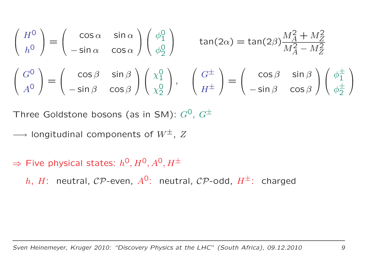$$
\begin{pmatrix}\nH^0 \\
h^0\n\end{pmatrix} = \begin{pmatrix}\n\cos \alpha & \sin \alpha \\
-\sin \alpha & \cos \alpha\n\end{pmatrix}\begin{pmatrix}\n\phi_1^0 \\
\phi_2^0\n\end{pmatrix} \quad \tan(2\alpha) = \tan(2\beta)\frac{M_A^2 + M_Z^2}{M_A^2 - M_Z^2}
$$
\n
$$
\begin{pmatrix}\nG^0 \\
A^0\n\end{pmatrix} = \begin{pmatrix}\n\cos \beta & \sin \beta \\
-\sin \beta & \cos \beta\n\end{pmatrix}\begin{pmatrix}\n\chi_1^0 \\
\chi_2^0\n\end{pmatrix}, \quad \begin{pmatrix}\nG^{\pm} \\
H^{\pm}\n\end{pmatrix} = \begin{pmatrix}\n\cos \beta & \sin \beta \\
-\sin \beta & \cos \beta\n\end{pmatrix}\begin{pmatrix}\n\phi_1^{\pm} \\
\phi_2^{\pm}\n\end{pmatrix}
$$

Three Goldstone bosons (as in SM):  $G^0$ ,  $G^{\pm}$ 

- −→ $\rightarrow$  longitudinal components of  $W^\pm$ ,  $Z$
- $\Rightarrow$  Five physical states:  $h^0, H^0, A^0, H^\pm$ 
	- $h$ ,  $H$ : neutral,  ${\cal{CP}}$ -even,  $A^{{\sf O}}$ : neutral,  ${\cal{CP}}$ -odd,  $H^\pm$ : charged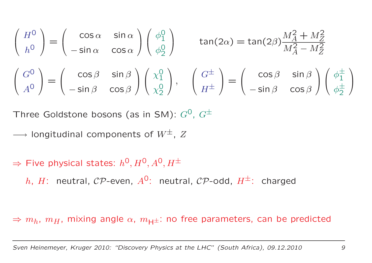$$
\begin{pmatrix}\nH^0 \\
h^0\n\end{pmatrix} = \begin{pmatrix}\n\cos \alpha & \sin \alpha \\
-\sin \alpha & \cos \alpha\n\end{pmatrix} \begin{pmatrix}\n\phi_1^0 \\
\phi_2^0\n\end{pmatrix} \quad \tan(2\alpha) = \tan(2\beta) \frac{M_A^2 + M_Z^2}{M_A^2 - M_Z^2}
$$
\n
$$
\begin{pmatrix}\nG^0 \\
A^0\n\end{pmatrix} = \begin{pmatrix}\n\cos \beta & \sin \beta \\
-\sin \beta & \cos \beta\n\end{pmatrix} \begin{pmatrix}\n\chi_1^0 \\
\chi_2^0\n\end{pmatrix}, \quad \begin{pmatrix}\nG^{\pm} \\
H^{\pm}\n\end{pmatrix} = \begin{pmatrix}\n\cos \beta & \sin \beta \\
-\sin \beta & \cos \beta\n\end{pmatrix} \begin{pmatrix}\n\phi_1^{\pm} \\
\phi_2^{\pm}\n\end{pmatrix}
$$

Three Goldstone bosons (as in SM):  $G^0$ ,  $G^{\pm}$ 

- −→ $\rightarrow$  longitudinal components of  $W^\pm$ ,  $Z$
- $\Rightarrow$  Five physical states:  $h^0, H^0, A^0, H^\pm$ 
	- $h$ ,  $H$ : neutral,  ${\cal{CP}}$ -even,  $A^{{\sf O}}$ : neutral,  ${\cal{CP}}$ -odd,  $H^\pm$ : charged

 $\Rightarrow m_h,~m_H,$  mixing angle  $\alpha,~m_{\sf H^{\pm}}$ : no free parameters, can be predicted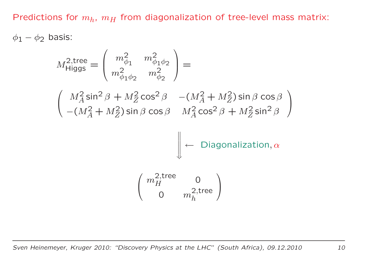Predictions for  $m_h, \ m_H$  from diagonalization of tree-level mass matrix:

 $\phi_1$  $_1 - \phi_2$  basis:

$$
M_{\text{Higgs}}^{2,\text{tree}} = \begin{pmatrix} m_{\phi_1}^2 & m_{\phi_1 \phi_2}^2 \\ m_{\phi_1 \phi_2}^2 & m_{\phi_2}^2 \end{pmatrix} =
$$
  

$$
\begin{pmatrix} M_A^2 \sin^2 \beta + M_Z^2 \cos^2 \beta & -(M_A^2 + M_Z^2) \sin \beta \cos \beta \\ -(M_A^2 + M_Z^2) \sin \beta \cos \beta & M_A^2 \cos^2 \beta + M_Z^2 \sin^2 \beta \end{pmatrix}
$$
  

$$
\begin{pmatrix} \omega_{\text{H}}^{2,\text{tree}} & 0 \\ 0 & m_h^{2,\text{tree}} \end{pmatrix}
$$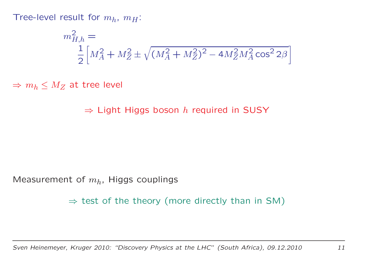Tree-level result for  $m_h$ ,  $m_H$ :

$$
m_{H,h}^2 = \frac{1}{2} \left[ M_A^2 + M_Z^2 \pm \sqrt{(M_A^2 + M_Z^2)^2 - 4M_Z^2 M_A^2 \cos^2 2\beta} \right]
$$

 $\Rightarrow m_h \leq M_Z$  at tree level

 $\Rightarrow$  Light Higgs boson  $h$  required in SUSY

Measurement of  $m_h$ , Higgs couplings

 $\Rightarrow$  test of the theory (more directly than in SM)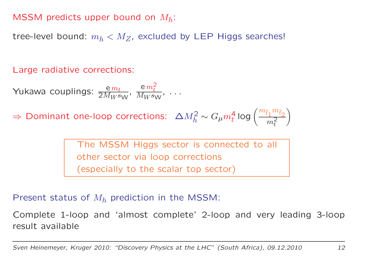### MSSM predicts upper bound on  $M_h$ :

tree-level bound:  $m_h < M_Z$ , excluded by LEP Higgs searches!

Large radiative corrections:

Yukawa couplings:  $\frac{\text{e}}{2M}$  $\frac{{\rm e}\,m_t}{2M_W s_{\rm W}},$ e $\,m$ 2 $\frac{C m_t}{M_W s_W}$ , ...

 $\Rightarrow$  Dominant one-loop corrections:  $\Delta M_h^2$  $g_h^2\sim G_\mu m_t^4$  $\frac{4}{t}$  log  $\left(\frac{m}{t}\right)$  ${\tilde t}_1$  $m \$  $\tilde t_2$  $m<sub>1</sub><sup>2</sup>$  $\left(\frac{n_{\tilde{t}_2}}{2}\right)$ 

> The MSSM Higgs sector is connected to all other sector via loop corrections (especially to the scalar top sector)

Present status of  $M_h$  prediction in the MSSM:

Complete 1-loop and 'almost complete' 2-loop and very leading 3-loop result available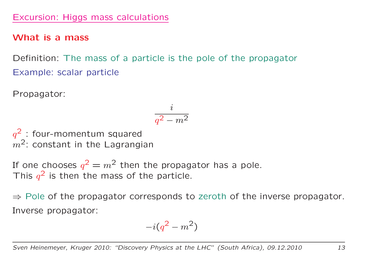#### Excursion: Higgs mass calculations

#### What is <sup>a</sup> mass

Definition: The mass of <sup>a</sup> particle is the pole of the propagator Example: scalar particle

Propagator:

$$
\frac{i}{q^2-m^2}
$$

 $\, q \,$  $\overline{m}$  $2$ : four-momentum squared  $2:$  constant in the Lagrangian

If one chooses  $q$  $2=m^2$  then the propagator has a pole. This  $q^\angle$  is then the r  $2$  is then the mass of the particle.

⇒ Pole of the propagator corresponds to zeroth of the inverse propagator. Inverse propagator:

$$
-i(q^2-m^2)
$$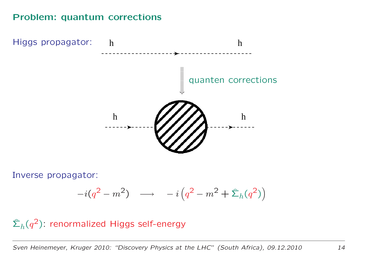#### Problem: quantum corrections



Inverse propagator:

$$
-i(q^2 - m^2) \quad \longrightarrow \quad -i\left(q^2 - m^2 + \hat{\Sigma}_h(q^2)\right)
$$

 $\widehat{\mathbf{\Sigma}}_h(q)$ 2<sup>2</sup>): renormalized Higgs self-energy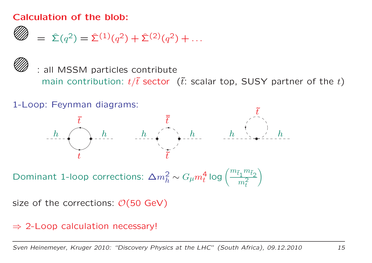#### Calculation of the blob:

$$
\mathscr{D} = \hat{\Sigma}(q^2) = \hat{\Sigma}^{(1)}(q^2) + \hat{\Sigma}^{(2)}(q^2) + \dots
$$



: all MSSM particles contribute main contribution:  $t/\tilde{t}$  sector ( $\tilde{t}$ : scalar top, SUSY partner of the t)



Dominant 1-loop corrections:  $\Delta m_h^2 \sim G_\mu m_t^4$  log  $\left(\frac{m_{\tilde{t}_1}m_{\tilde{t}_2}}{m_t^2}\right)$ 

size of the corrections:  $\mathcal{O}(50 \text{ GeV})$ 

⇒ 2-Loop calculation necessary!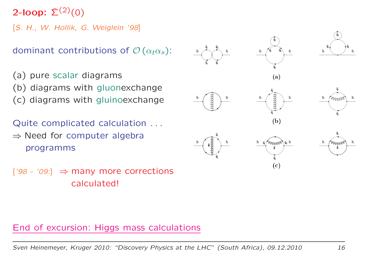2-loop:  $\hat{\Sigma}^{(2)}(0)$ 

[S. H., W. Hollik, G. Weiglein '98]

dominant contributions of  $\mathcal{O}\left( \alpha_t \alpha_s \right)$ :

(a) pure scalar diagrams (b) diagrams with gluonexchange (c) diagrams with gluinoexchange

Quite complicated calculation . . . ⇒ Need for computer algebra programms

 $[ '98 - '09 ] \Rightarrow$  many more corrections calculated!



#### End of excursion: Higgs mass calculations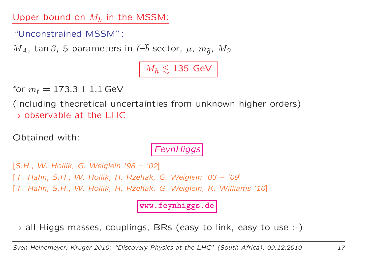Upper bound on  $M_h$  in the MSSM:

"Unconstrained MSSM":

 $M_A$ , tan  $\beta$ , 5 parameters in  $\tilde{t}-\tilde{b}$  sector,  $\mu$ ,  $m_{\tilde{q}}$ ,  $M_2$ 

 $M_h \lesssim 135$  GeV

for  $m_t = 173.3 \pm 1.1$  GeV

(including theoretical uncertainties from unknown higher orders)  $\Rightarrow$  observable at the LHC

Obtained with:

### **FeynHiggs**

[S.H., W. Hollik, G. Weiglein '98 – '02] [T. Hahn, S.H., W. Hollik, H. Rzehak, G. Weiglein '03 – '09] [T. Hahn, S.H., W. Hollik, H. Rzehak, G. Weiglein, K. Williams '10]

www.feynhiggs.de

 $\rightarrow$  all Higgs masses, couplings, BRs (easy to link, easy to use :-)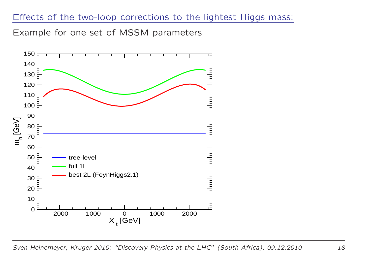#### Effects of the two-loop corrections to the lightest Higgs mass:

Example for one set of MSSM parameters



Sven Heinemeyer, Kruger 2010: "Discovery Physics at the LHC" (South Africa), 09.12.2010 18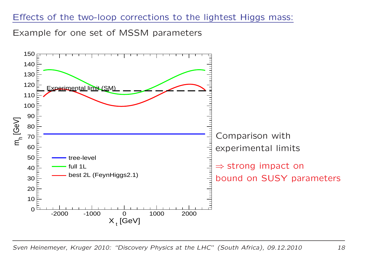#### Effects of the two-loop corrections to the lightest Higgs mass:

Example for one set of MSSM parameters